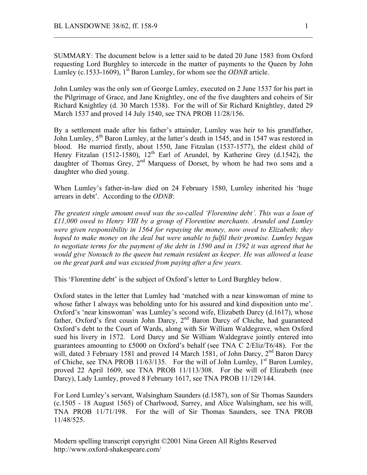SUMMARY: The document below is a letter said to be dated 20 June 1583 from Oxford requesting Lord Burghley to intercede in the matter of payments to the Queen by John Lumley (c.1533-1609), 1<sup>st</sup> Baron Lumley, for whom see the *ODNB* article.

 $\mathcal{L}_\text{max}$  , and the contribution of the contribution of the contribution of the contribution of the contribution of the contribution of the contribution of the contribution of the contribution of the contribution of t

John Lumley was the only son of George Lumley, executed on 2 June 1537 for his part in the Pilgrimage of Grace, and Jane Knightley, one of the five daughters and coheirs of Sir Richard Knightley (d. 30 March 1538). For the will of Sir Richard Knightley, dated 29 March 1537 and proved 14 July 1540, see TNA PROB 11/28/156.

By a settlement made after his father's attainder, Lumley was heir to his grandfather, John Lumley, 5<sup>th</sup> Baron Lumley, at the latter's death in 1545, and in 1547 was restored in blood. He married firstly, about 1550, Jane Fitzalan (1537-1577), the eldest child of Henry Fitzalan (1512-1580),  $12<sup>th</sup>$  Earl of Arundel, by Katherine Grey (d.1542), the daughter of Thomas Grey, 2<sup>nd</sup> Marquess of Dorset, by whom he had two sons and a daughter who died young.

When Lumley's father-in-law died on 24 February 1580, Lumley inherited his 'huge arrears in debt'. According to the *ODNB*:

*The greatest single amount owed was the so-called 'Florentine debt'. This was a loan of £11,000 owed to Henry VIII by a group of Florentine merchants. Arundel and Lumley were given responsibility in 1564 for repaying the money, now owed to Elizabeth; they hoped to make money on the deal but were unable to fulfil their promise. Lumley began to negotiate terms for the payment of the debt in 1590 and in 1592 it was agreed that he would give Nonsuch to the queen but remain resident as keeper. He was allowed a lease on the great park and was excused from paying after a few years.*

This 'Florentine debt' is the subject of Oxford's letter to Lord Burghley below.

Oxford states in the letter that Lumley had 'matched with a near kinswoman of mine to whose father I always was beholding unto for his assured and kind disposition unto me'. Oxford's 'near kinswoman' was Lumley's second wife, Elizabeth Darcy (d.1617), whose father, Oxford's first cousin John Darcy, 2<sup>nd</sup> Baron Darcy of Chiche, had guaranteed Oxford's debt to the Court of Wards, along with Sir William Waldegrave, when Oxford sued his livery in 1572. Lord Darcy and Sir William Waldegrave jointly entered into guarantees amounting to £5000 on Oxford's behalf (see TNA C 2/Eliz/T6/48). For the will, dated 3 February 1581 and proved 14 March 1581, of John Darcy,  $2<sup>nd</sup>$  Baron Darcy of Chiche, see TNA PROB 11/63/135. For the will of John Lumley,  $1<sup>st</sup>$  Baron Lumley, proved 22 April 1609, see TNA PROB 11/113/308. For the will of Elizabeth (nee Darcy), Lady Lumley, proved 8 February 1617, see TNA PROB 11/129/144.

For Lord Lumley's servant, Walsingham Saunders (d.1587), son of Sir Thomas Saunders (c.1505 - 18 August 1565) of Charlwood, Surrey, and Alice Walsingham, see his will, TNA PROB 11/71/198. For the will of Sir Thomas Saunders, see TNA PROB 11/48/525.

Modern spelling transcript copyright ©2001 Nina Green All Rights Reserved http://www.oxford-shakespeare.com/